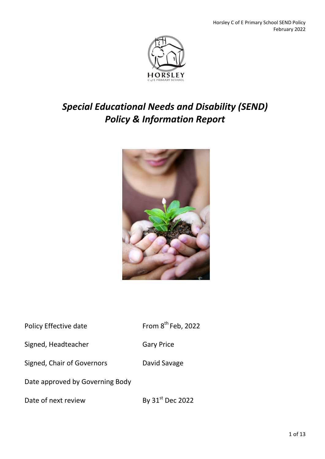

## *Special Educational Needs and Disability (SEND) Policy & Information Report*



| Policy Effective date | From $8^{th}$ Feb, 2022 |
|-----------------------|-------------------------|
| Signed, Headteacher   | <b>Gary Price</b>       |

Signed, Chair of Governors David Savage

Date approved by Governing Body

Date of next review By 31<sup>st</sup> Dec 2022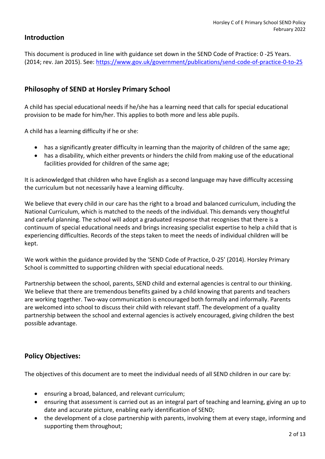## **Introduction**

This document is produced in line with guidance set down in the SEND Code of Practice: 0 -25 Years. (2014; rev. Jan 2015). See:<https://www.gov.uk/government/publications/send-code-of-practice-0-to-25>

#### **Philosophy of SEND at Horsley Primary School**

A child has special educational needs if he/she has a learning need that calls for special educational provision to be made for him/her. This applies to both more and less able pupils.

A child has a learning difficulty if he or she:

- has a significantly greater difficulty in learning than the majority of children of the same age;
- has a disability, which either prevents or hinders the child from making use of the educational facilities provided for children of the same age;

It is acknowledged that children who have English as a second language may have difficulty accessing the curriculum but not necessarily have a learning difficulty.

We believe that every child in our care has the right to a broad and balanced curriculum, including the National Curriculum, which is matched to the needs of the individual. This demands very thoughtful and careful planning. The school will adopt a graduated response that recognises that there is a continuum of special educational needs and brings increasing specialist expertise to help a child that is experiencing difficulties. Records of the steps taken to meet the needs of individual children will be kept.

We work within the guidance provided by the 'SEND Code of Practice, 0-25' (2014). Horsley Primary School is committed to supporting children with special educational needs.

Partnership between the school, parents, SEND child and external agencies is central to our thinking. We believe that there are tremendous benefits gained by a child knowing that parents and teachers are working together. Two-way communication is encouraged both formally and informally. Parents are welcomed into school to discuss their child with relevant staff. The development of a quality partnership between the school and external agencies is actively encouraged, giving children the best possible advantage.

## **Policy Objectives:**

The objectives of this document are to meet the individual needs of all SEND children in our care by:

- ensuring a broad, balanced, and relevant curriculum;
- ensuring that assessment is carried out as an integral part of teaching and learning, giving an up to date and accurate picture, enabling early identification of SEND;
- the development of a close partnership with parents, involving them at every stage, informing and supporting them throughout;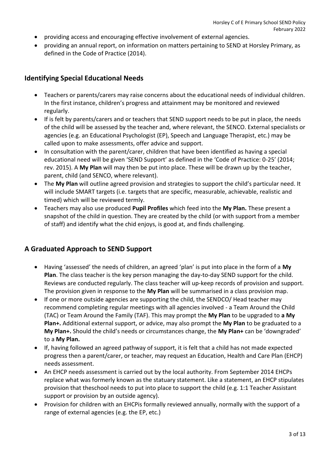- providing access and encouraging effective involvement of external agencies.
- providing an annual report, on information on matters pertaining to SEND at Horsley Primary, as defined in the Code of Practice (2014).

## **Identifying Special Educational Needs**

- Teachers or parents/carers may raise concerns about the educational needs of individual children. In the first instance, children's progress and attainment may be monitored and reviewed regularly.
- If is felt by parents/carers and or teachers that SEND support needs to be put in place, the needs of the child will be assessed by the teacher and, where relevant, the SENCO. External specialists or agencies (e.g. an Educational Psychologist (EP), Speech and Language Therapist, etc.) may be called upon to make assessments, offer advice and support.
- In consultation with the parent/carer, children that have been identified as having a special educational need will be given 'SEND Support' as defined in the 'Code of Practice: 0-25' (2014; rev. 2015). A **My Plan** will may then be put into place. These will be drawn up by the teacher, parent, child (and SENCO, where relevant).
- The **My Plan** will outline agreed provision and strategies to support the child's particular need. It will include SMART targets (i.e. targets that are specific, measurable, achievable, realistic and timed) which will be reviewed termly.
- Teachers may also use produced **Pupil Profiles** which feed into the **My Plan.** These present a snapshot of the child in question. They are created by the child (or with support from a member of staff) and identify what the chid enjoys, is good at, and finds challenging.

## **A Graduated Approach to SEND Support**

- Having 'assessed' the needs of children, an agreed 'plan' is put into place in the form of a **My Plan**. The class teacher is the key person managing the day-to-day SEND support for the child. Reviews are conducted regularly. The class teacher will up-keep records of provision and support. The provision given in response to the **My Plan** will be summarised in a class provision map.
- If one or more outside agencies are supporting the child, the SENDCO/ Head teacher may recommend completing regular meetings with all agencies involved - a Team Around the Child (TAC) or Team Around the Family (TAF). This may prompt the **My Plan** to be upgraded to **a My Plan+.** Additional external support, or advice, may also prompt the **My Plan** to be graduated to a **My Plan+.** Should the child's needs or circumstances change, the **My Plan+** can be 'downgraded' to a **My Plan.**
- If, having followed an agreed pathway of support, it is felt that a child has not made expected progress then a parent/carer, or teacher, may request an Education, Health and Care Plan (EHCP) needs assessment.
- An EHCP needs assessment is carried out by the local authority. From September 2014 EHCPs replace what was formerly known as the statuary statement. Like a statement, an EHCP stipulates provision that theschool needs to put into place to support the child (e.g. 1:1 Teacher Assistant support or provision by an outside agency).
- Provision for children with an EHCPis formally reviewed annually, normally with the support of a range of external agencies (e.g. the EP, etc.)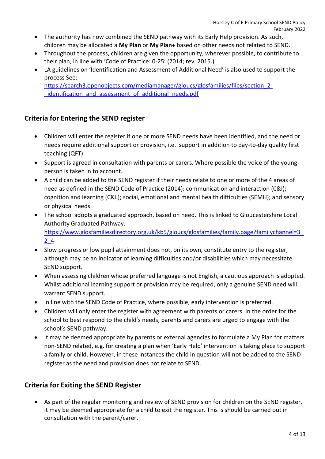- The authority has now combined the SEND pathway with its Early Help provision. As such, children may be allocated a **My Plan** or **My Plan+** based on other needs not related to SEND.
- Throughout the process, children are given the opportunity, wherever possible, to contribute to their plan, in line with 'Code of Practice: 0-25' (2014; rev. 2015.).
- LA guidelines on 'Identification and Assessment of Additional Need' is also used to support the process See:

[https://search3.openobjects.com/mediamanager/gloucs/glosfamilies/files/section\\_2](https://search3.openobjects.com/mediamanager/gloucs/glosfamilies/files/section_2-_identification_and_assessment_of_additional_needs.pdf) identification and assessment of additional needs.pdf

## **Criteria for Entering the SEND register**

- Children will enter the register if one or more SEND needs have been identified, and the need or needs require additional support or provision, i.e. support in addition to day-to-day quality first teaching (QFT).
- Support is agreed in consultation with parents or carers. Where possible the voice of the young person is taken in to account.
- A child can be added to the SEND register if their needs relate to one or more of the 4 areas of need as defined in the SEND Code of Practice (2014): communication and interaction (C&I); cognition and learning (C&L); social, emotional and mental health difficulties (SEMH); and sensory or physical needs.
- The school adopts a graduated approach, based on need. This is linked to Gloucestershire Local Authority Graduated Pathway. https://www.glosfamiliesdirectory.org.uk/kb5/gloucs/glosfamilies/family.page?familychannel=3 [2\\_4](https://www.glosfamiliesdirectory.org.uk/kb5/gloucs/glosfamilies/family.page?familychannel=3_2_4)
- Slow progress or low pupil attainment does not, on its own, constitute entry to the register, although may be an indicator of learning difficulties and/or disabilities which may necessitate SEND support.
- When assessing children whose preferred language is not English, a cautious approach is adopted. Whilst additional learning support or provision may be required, only a genuine SEND need will warrant SEND support.
- In line with the SEND Code of Practice, where possible, early intervention is preferred.
- Children will only enter the register with agreement with parents or carers. In the order for the school to best respond to the child's needs, parents and carers are urged to engage with the school's SEND pathway.
- It may be deemed appropriate by parents or external agencies to formulate a My Plan for matters non-SEND related, e.g. for creating a plan when 'Early Help' intervention is taking place to support a family or child. However, in these instances the child in question will not be added to the SEND register as the need and provision does not relate to SEND.

## **Criteria for Exiting the SEND Register**

 As part of the regular monitoring and review of SEND provision for children on the SEND register, it may be deemed appropriate for a child to exit the register. This is should be carried out in consultation with the parent/carer.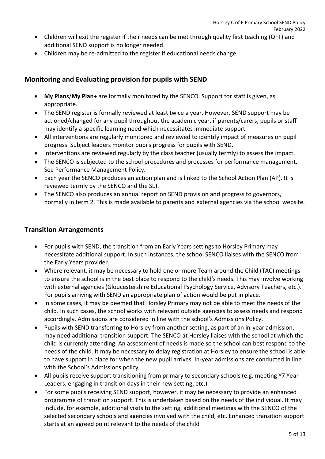- Children will exit the register if their needs can be met through quality first teaching (QFT) and additional SEND support is no longer needed.
- Children may be re-admitted to the register if educational needs change.

## **Monitoring and Evaluating provision for pupils with SEND**

- **My Plans**/**My Plan+** are formally monitored by the SENCO. Support for staff is given, as appropriate.
- The SEND register is formally reviewed at least twice a year. However, SEND support may be actioned/changed for any pupil throughout the academic year, if parents/carers, pupils or staff may identify a specific learning need which necessitates immediate support.
- All interventions are regularly monitored and reviewed to identify impact of measures on pupil progress. Subject leaders monitor pupils progress for pupils with SEND.
- Interventions are reviewed regularly by the class teacher (usually termly) to assess the impact.
- The SENCO is subjected to the school procedures and processes for performance management. See Performance Management Policy.
- Each year the SENCO produces an action plan and is linked to the School Action Plan (AP). It is reviewed termly by the SENCO and the SLT.
- The SENCO also produces an annual report on SEND provision and progress to governors, normally in term 2. This is made available to parents and external agencies via the school website.

#### **Transition Arrangements**

- For pupils with SEND, the transition from an Early Years settings to Horsley Primary may necessitate additional support. In such instances, the school SENCO liaises with the SENCO from the Early Years provider.
- Where relevant, it may be necessary to hold one or more Team around the Child (TAC) meetings to ensure the school is in the best place to respond to the child's needs. This may involve working with external agencies (Gloucestershire Educational Psychology Service, Advisory Teachers, etc.). For pupils arriving with SEND an appropriate plan of action would be put in place.
- In some cases, it may be deemed that Horsley Primary may not be able to meet the needs of the child. In such cases, the school works with relevant outside agencies to assess needs and respond accordingly. Admissions are considered in line with the school's Admissions Policy.
- Pupils with SEND transferring to Horsley from another setting, as part of an in-year admission, may need additional transition support. The SENCO at Horsley liaises with the school at which the child is currently attending. An assessment of needs is made so the school can best respond to the needs of the child. It may be necessary to delay registration at Horsley to ensure the school is able to have support in place for when the new pupil arrives. In-year admissions are conducted in line with the School's Admissions policy.
- All pupils receive support transitioning from primary to secondary schools (e.g. meeting Y7 Year Leaders, engaging in transition days in their new setting, etc.).
- For some pupils receiving SEND support, however, it may be necessary to provide an enhanced programme of transition support. This is undertaken based on the needs of the individual. It may include, for example, additional visits to the setting, additional meetings with the SENCO of the selected secondary schools and agencies involved with the child, etc. Enhanced transition support starts at an agreed point relevant to the needs of the child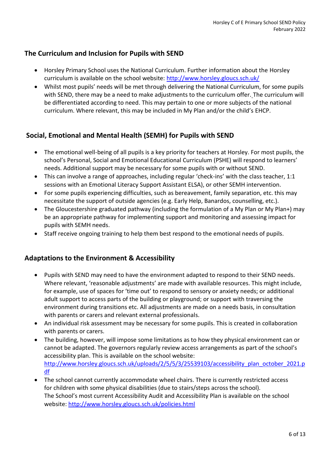## **The Curriculum and Inclusion for Pupils with SEND**

- Horsley Primary School uses the National Curriculum. Further information about the Horsley curriculum is available on the school website: <http://www.horsley.gloucs.sch.uk/>
- Whilst most pupils' needs will be met through delivering the National Curriculum, for some pupils with SEND, there may be a need to make adjustments to the curriculum offer. The curriculum will be differentiated according to need. This may pertain to one or more subjects of the national curriculum. Where relevant, this may be included in My Plan and/or the child's EHCP.

#### **Social, Emotional and Mental Health (SEMH) for Pupils with SEND**

- The emotional well-being of all pupils is a key priority for teachers at Horsley. For most pupils, the school's Personal, Social and Emotional Educational Curriculum (PSHE) will respond to learners' needs. Additional support may be necessary for some pupils with or without SEND.
- This can involve a range of approaches, including regular 'check-ins' with the class teacher, 1:1 sessions with an Emotional Literacy Support Assistant ELSA), or other SEMH intervention.
- For some pupils experiencing difficulties, such as bereavement, family separation, etc. this may necessitate the support of outside agencies (e.g. Early Help, Banardos, counselling, etc.).
- The Gloucestershire graduated pathway (including the formulation of a My Plan or My Plan+) may be an appropriate pathway for implementing support and monitoring and assessing impact for pupils with SEMH needs.
- Staff receive ongoing training to help them best respond to the emotional needs of pupils.

#### **Adaptations to the Environment & Accessibility**

- Pupils with SEND may need to have the environment adapted to respond to their SEND needs. Where relevant, 'reasonable adjustments' are made with available resources. This might include, for example, use of spaces for 'time out' to respond to sensory or anxiety needs; or additional adult support to access parts of the building or playground; or support with traversing the environment during transitions etc. All adjustments are made on a needs basis, in consultation with parents or carers and relevant external professionals.
- An individual risk assessment may be necessary for some pupils. This is created in collaboration with parents or carers.
- The building, however, will impose some limitations as to how they physical environment can or cannot be adapted. The governors regularly review access arrangements as part of the school's accessibility plan. This is available on the school website: [http://www.horsley.gloucs.sch.uk/uploads/2/5/5/3/25539103/accessibility\\_plan\\_october\\_2021.p](http://www.horsley.gloucs.sch.uk/uploads/2/5/5/3/25539103/accessibility_plan_october_2021.pdf) [df](http://www.horsley.gloucs.sch.uk/uploads/2/5/5/3/25539103/accessibility_plan_october_2021.pdf)
- The school cannot currently accommodate wheel chairs. There is currently restricted access for children with some physical disabilities (due to stairs/steps across the school). The School's most current Accessibility Audit and Accessibility Plan is available on the school website:<http://www.horsley.gloucs.sch.uk/policies.html>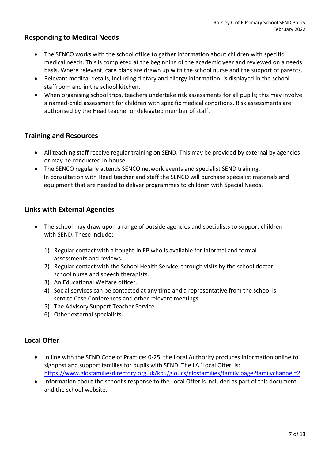#### **Responding to Medical Needs**

- The SENCO works with the school office to gather information about children with specific medical needs. This is completed at the beginning of the academic year and reviewed on a needs basis. Where relevant, care plans are drawn up with the school nurse and the support of parents.
- Relevant medical details, including dietary and allergy information, is displayed in the school staffroom and in the school kitchen.
- When organising school trips, teachers undertake risk assessments for all pupils; this may involve a named-child assessment for children with specific medical conditions. Risk assessments are authorised by the Head teacher or delegated member of staff.

#### **Training and Resources**

- All teaching staff receive regular training on SEND. This may be provided by external by agencies or may be conducted in-house.
- The SENCO regularly attends SENCO network events and specialist SEND training. In consultation with Head teacher and staff the SENCO will purchase specialist materials and equipment that are needed to deliver programmes to children with Special Needs.

## **Links with External Agencies**

- The school may draw upon a range of outside agencies and specialists to support children with SEND. These include:
	- 1) Regular contact with a bought-in EP who is available for informal and formal assessments and reviews.
	- 2) Regular contact with the School Health Service, through visits by the school doctor, school nurse and speech therapists.
	- 3) An Educational Welfare officer.
	- 4) Social services can be contacted at any time and a representative from the school is sent to Case Conferences and other relevant meetings.
	- 5) The Advisory Support Teacher Service.
	- 6) Other external specialists.

## **Local Offer**

- In line with the SEND Code of Practice: 0-25, the Local Authority produces information online to signpost and support families for pupils with SEND. The LA 'Local Offer' is: <https://www.glosfamiliesdirectory.org.uk/kb5/gloucs/glosfamilies/family.page?familychannel=2>
- Information about the school's response to the Local Offer is included as part of this document and the school website.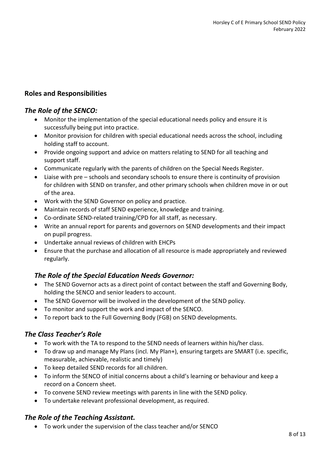## **Roles and Responsibilities**

#### *The Role of the SENCO:*

- Monitor the implementation of the special educational needs policy and ensure it is successfully being put into practice.
- Monitor provision for children with special educational needs across the school, including holding staff to account.
- Provide ongoing support and advice on matters relating to SEND for all teaching and support staff.
- Communicate regularly with the parents of children on the Special Needs Register.
- Liaise with pre schools and secondary schools to ensure there is continuity of provision for children with SEND on transfer, and other primary schools when children move in or out of the area.
- Work with the SEND Governor on policy and practice.
- Maintain records of staff SEND experience, knowledge and training.
- Co-ordinate SEND-related training/CPD for all staff, as necessary.
- Write an annual report for parents and governors on SEND developments and their impact on pupil progress.
- Undertake annual reviews of children with EHCPs
- Ensure that the purchase and allocation of all resource is made appropriately and reviewed regularly.

## *The Role of the Special Education Needs Governor:*

- The SEND Governor acts as a direct point of contact between the staff and Governing Body, holding the SENCO and senior leaders to account.
- The SEND Governor will be involved in the development of the SEND policy.
- To monitor and support the work and impact of the SENCO.
- To report back to the Full Governing Body (FGB) on SEND developments.

## *The Class Teacher's Role*

- To work with the TA to respond to the SEND needs of learners within his/her class.
- To draw up and manage My Plans (incl. My Plan+), ensuring targets are SMART (i.e. specific, measurable, achievable, realistic and timely)
- To keep detailed SEND records for all children.
- To inform the SENCO of initial concerns about a child's learning or behaviour and keep a record on a Concern sheet.
- To convene SEND review meetings with parents in line with the SEND policy.
- To undertake relevant professional development, as required.

## *The Role of the Teaching Assistant.*

To work under the supervision of the class teacher and/or SENCO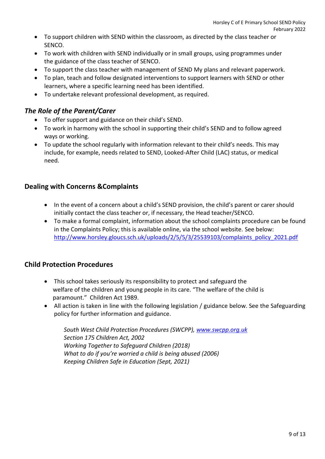- To support children with SEND within the classroom, as directed by the class teacher or SENCO.
- To work with children with SEND individually or in small groups, using programmes under the guidance of the class teacher of SENCO.
- To support the class teacher with management of SEND My plans and relevant paperwork.
- To plan, teach and follow designated interventions to support learners with SEND or other learners, where a specific learning need has been identified.
- To undertake relevant professional development, as required.

## *The Role of the Parent/Carer*

- To offer support and guidance on their child's SEND.
- To work in harmony with the school in supporting their child's SEND and to follow agreed ways or working.
- To update the school regularly with information relevant to their child's needs. This may include, for example, needs related to SEND, Looked-After Child (LAC) status, or medical need.

## **Dealing with Concerns &Complaints**

- In the event of a concern about a child's SEND provision, the child's parent or carer should initially contact the class teacher or, if necessary, the Head teacher/SENCO.
- To make a formal complaint, information about the school complaints procedure can be found in the Complaints Policy; this is available online, via the school website. See below: [http://www.horsley.gloucs.sch.uk/uploads/2/5/5/3/25539103/complaints\\_policy\\_2021.pdf](http://www.horsley.gloucs.sch.uk/uploads/2/5/5/3/25539103/complaints_policy_2021.pdf)

## **Child Protection Procedures**

- This school takes seriously its responsibility to protect and safeguard the welfare of the children and young people in its care. "The welfare of the child is paramount." Children Act 1989.
- All action is taken in line with the following legislation / guidance below. See the Safeguarding policy for further information and guidance.

*South West Child Protection Procedures (SWCPP), [www.swcpp.org.uk](http://www.swcpp.org.uk/) Section 175 Children Act, 2002 Working Together to Safeguard Children (2018) What to do if you're worried a child is being abused (2006) Keeping Children Safe in Education (Sept, 2021)*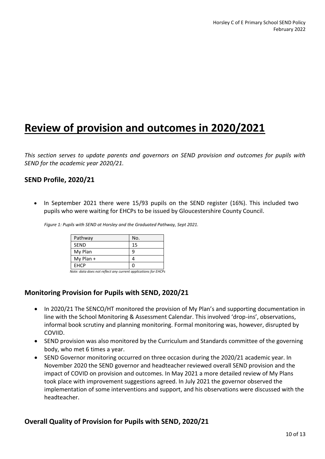# **Review of provision and outcomes in 2020/2021**

*This section serves to update parents and governors on SEND provision and outcomes for pupils with SEND for the academic year 2020/21.* 

#### **SEND Profile, 2020/21**

 In September 2021 there were 15/93 pupils on the SEND register (16%). This included two pupils who were waiting for EHCPs to be issued by Gloucestershire County Council.

*Figure 1: Pupils with SEND at Horsley and the Graduated Pathway, Sept 2021.*

| Pathway     | No.                                                            |
|-------------|----------------------------------------------------------------|
| <b>SEND</b> | 15                                                             |
| My Plan     | 9                                                              |
| $My$ Plan + |                                                                |
| EHCP        | С                                                              |
| .           | $\sim$<br>$\cdots$<br>-----<br>the contract of the contract of |

 *Note: data does not reflect any current applications for EHCPs*

## **Monitoring Provision for Pupils with SEND, 2020/21**

- In 2020/21 The SENCO/HT monitored the provision of My Plan's and supporting documentation in line with the School Monitoring & Assessment Calendar. This involved 'drop-ins', observations, informal book scrutiny and planning monitoring. Formal monitoring was, however, disrupted by COVIID.
- SEND provision was also monitored by the Curriculum and Standards committee of the governing body, who met 6 times a year.
- SEND Governor monitoring occurred on three occasion during the 2020/21 academic year. In November 2020 the SEND governor and headteacher reviewed overall SEND provision and the impact of COVID on provision and outcomes. In May 2021 a more detailed review of My Plans took place with improvement suggestions agreed. In July 2021 the governor observed the implementation of some interventions and support, and his observations were discussed with the headteacher.

#### **Overall Quality of Provision for Pupils with SEND, 2020/21**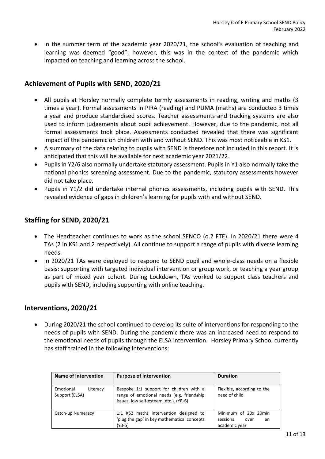• In the summer term of the academic year 2020/21, the school's evaluation of teaching and learning was deemed "good"; however, this was in the context of the pandemic which impacted on teaching and learning across the school.

#### **Achievement of Pupils with SEND, 2020/21**

- All pupils at Horsley normally complete termly assessments in reading, writing and maths (3 times a year). Formal assessments in PIRA (reading) and PUMA (maths) are conducted 3 times a year and produce standardised scores. Teacher assessments and tracking systems are also used to inform judgements about pupil achievement. However, due to the pandemic, not all formal assessments took place. Assessments conducted revealed that there was significant impact of the pandemic on children with and without SEND. This was most noticeable in KS1.
- A summary of the data relating to pupils with SEND is therefore not included in this report. It is anticipated that this will be available for next academic year 2021/22.
- Pupils in Y2/6 also normally undertake statutory assessment. Pupils in Y1 also normally take the national phonics screening assessment. Due to the pandemic, statutory assessments however did not take place.
- Pupils in Y1/2 did undertake internal phonics assessments, including pupils with SEND. This revealed evidence of gaps in children's learning for pupils with and without SEND.

#### **Staffing for SEND, 2020/21**

- The Headteacher continues to work as the school SENCO (o.2 FTE). In 2020/21 there were 4 TAs (2 in KS1 and 2 respectively). All continue to support a range of pupils with diverse learning needs.
- In 2020/21 TAs were deployed to respond to SEND pupil and whole-class needs on a flexible basis: supporting with targeted individual intervention or group work, or teaching a year group as part of mixed year cohort. During Lockdown, TAs worked to support class teachers and pupils with SEND, including supporting with online teaching.

#### **Interventions, 2020/21**

 During 2020/21 the school continued to develop its suite of interventions for responding to the needs of pupils with SEND. During the pandemic there was an increased need to respond to the emotional needs of pupils through the ELSA intervention. Horsley Primary School currently has staff trained in the following interventions:

| <b>Name of Intervention</b>             | <b>Purpose of Intervention</b>                                                                                                 | <b>Duration</b>                                                 |
|-----------------------------------------|--------------------------------------------------------------------------------------------------------------------------------|-----------------------------------------------------------------|
| Emotional<br>Literacy<br>Support (ELSA) | Bespoke 1:1 support for children with a<br>range of emotional needs (e.g. friendship<br>issues, low self-esteem, etc.). (YR-6) | Flexible, according to the<br>need of child                     |
| Catch-up Numeracy                       | 1:1 KS2 maths intervention designed to<br>'plug the gap' in key mathematical concepts<br>$(Y3-5)$                              | Minimum of 20x 20min<br>sessions<br>over<br>an<br>academic year |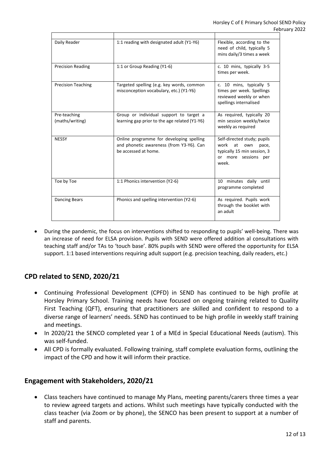| Daily Reader                    | 1:1 reading with designated adult (Y1-Y6)                                                                    | Flexible, according to the<br>need of child, typically 5<br>mins daily/3 times a week                                     |
|---------------------------------|--------------------------------------------------------------------------------------------------------------|---------------------------------------------------------------------------------------------------------------------------|
| <b>Precision Reading</b>        | 1:1 or Group Reading (Y1-6)                                                                                  | c. 10 mins, typically 3-5<br>times per week.                                                                              |
| <b>Precision Teaching</b>       | Targeted spelling (e.g. key words, common<br>misconception vocabulary, etc.) (Y1-Y6)                         | c. 10 mins, typically 5<br>times per week. Spellings<br>reviewed weekly or when<br>spellings internalised                 |
| Pre-teaching<br>(maths/writing) | Group or individual support to target a<br>learning gap prior to the age related (Y1-Y6)                     | As required, typically 20<br>min session weekly/twice<br>weekly as required                                               |
| <b>NESSY</b>                    | Online programme for developing spelling<br>and phonetic awareness (from Y3-Y6). Can<br>be accessed at home. | Self-directed study; pupils<br>work<br>at<br>own<br>pace,<br>typically 15 min session, 3<br>or more sessions per<br>week. |
| Toe by Toe                      | 1:1 Phonics intervention (Y2-6)                                                                              | 10 minutes daily until<br>programme completed                                                                             |
| <b>Dancing Bears</b>            | Phonics and spelling intervention (Y2-6)                                                                     | As required. Pupils work<br>through the booklet with<br>an adult                                                          |

 During the pandemic, the focus on interventions shifted to responding to pupils' well-being. There was an increase of need for ELSA provision. Pupils with SEND were offered addition al consultations with teaching staff and/or TAs to 'touch base'. 80% pupils with SEND were offered the opportunity for ELSA support. 1:1 based interventions requiring adult support (e.g. precision teaching, daily readers, etc.)

## **CPD related to SEND, 2020/21**

- Continuing Professional Development (CPFD) in SEND has continued to be high profile at Horsley Primary School. Training needs have focused on ongoing training related to Quality First Teaching (QFT), ensuring that practitioners are skilled and confident to respond to a diverse range of learners' needs. SEND has continued to be high profile in weekly staff training and meetings.
- In 2020/21 the SENCO completed year 1 of a MEd in Special Educational Needs (autism). This was self-funded.
- All CPD is formally evaluated. Following training, staff complete evaluation forms, outlining the impact of the CPD and how it will inform their practice.

#### **Engagement with Stakeholders, 2020/21**

 Class teachers have continued to manage My Plans, meeting parents/carers three times a year to review agreed targets and actions. Whilst such meetings have typically conducted with the class teacher (via Zoom or by phone), the SENCO has been present to support at a number of staff and parents.